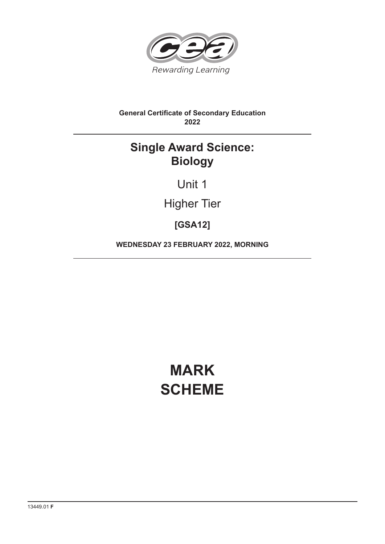

## **General Certificate of Secondary Education 2022**

# **Single Award Science: Biology**

Unit 1

Higher Tier

**[GSA12]**

**WEDNESDAY 23 FEBRUARY 2022, MORNING**

# **MARK SCHEME**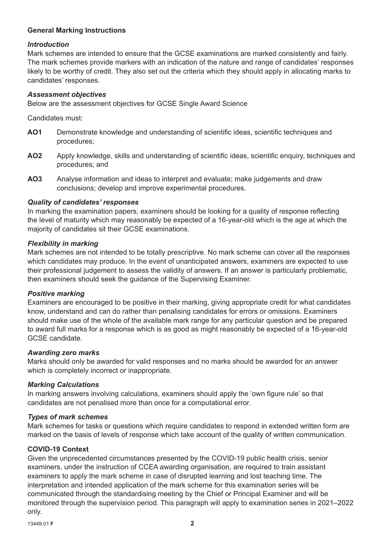### **General Marking Instructions**

#### *Introduction*

Mark schemes are intended to ensure that the GCSE examinations are marked consistently and fairly. The mark schemes provide markers with an indication of the nature and range of candidates' responses likely to be worthy of credit. They also set out the criteria which they should apply in allocating marks to candidates' responses.

#### *Assessment objectives*

Below are the assessment objectives for GCSE Single Award Science

Candidates must:

- **AO1** Demonstrate knowledge and understanding of scientific ideas, scientific techniques and procedures;
- AO2 Apply knowledge, skills and understanding of scientific ideas, scientific enquiry, techniques and procedures; and
- **AO3** Analyse information and ideas to interpret and evaluate; make judgements and draw conclusions; develop and improve experimental procedures.

#### *Quality of candidates' responses*

In marking the examination papers, examiners should be looking for a quality of response reflecting the level of maturity which may reasonably be expected of a 16-year-old which is the age at which the majority of candidates sit their GCSE examinations.

#### *Flexibility in marking*

Mark schemes are not intended to be totally prescriptive. No mark scheme can cover all the responses which candidates may produce. In the event of unanticipated answers, examiners are expected to use their professional judgement to assess the validity of answers. If an answer is particularly problematic, then examiners should seek the guidance of the Supervising Examiner.

#### *Positive marking*

Examiners are encouraged to be positive in their marking, giving appropriate credit for what candidates know, understand and can do rather than penalising candidates for errors or omissions. Examiners should make use of the whole of the available mark range for any particular question and be prepared to award full marks for a response which is as good as might reasonably be expected of a 16-year-old GCSE candidate.

#### *Awarding zero marks*

Marks should only be awarded for valid responses and no marks should be awarded for an answer which is completely incorrect or inappropriate.

#### *Marking Calculations*

In marking answers involving calculations, examiners should apply the 'own figure rule' so that candidates are not penalised more than once for a computational error.

#### *Types of mark schemes*

Mark schemes for tasks or questions which require candidates to respond in extended written form are marked on the basis of levels of response which take account of the quality of written communication.

#### **COVID-19 Context**

Given the unprecedented circumstances presented by the COVID-19 public health crisis, senior examiners, under the instruction of CCEA awarding organisation, are required to train assistant examiners to apply the mark scheme in case of disrupted learning and lost teaching time. The interpretation and intended application of the mark scheme for this examination series will be communicated through the standardising meeting by the Chief or Principal Examiner and will be monitored through the supervision period. This paragraph will apply to examination series in 2021–2022 only.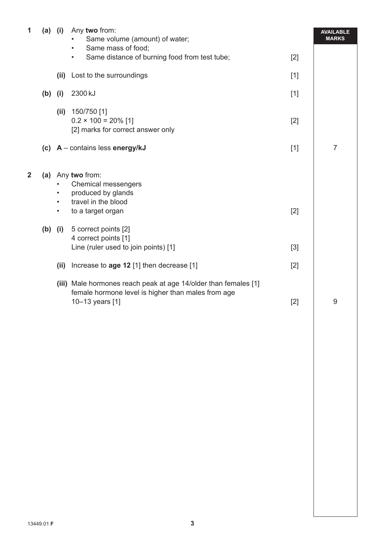| 1              |           | $(a)$ (i)              | Any two from:<br>Same volume (amount) of water;<br>Same mass of food;<br>$\bullet$                                                       |       | <b>AVAILABLE</b><br><b>MARKS</b> |
|----------------|-----------|------------------------|------------------------------------------------------------------------------------------------------------------------------------------|-------|----------------------------------|
|                |           |                        | Same distance of burning food from test tube;<br>$\bullet$                                                                               | $[2]$ |                                  |
|                |           |                        | (ii) Lost to the surroundings                                                                                                            | $[1]$ |                                  |
|                | $(b)$ (i) |                        | 2300 kJ                                                                                                                                  | $[1]$ |                                  |
|                |           |                        | (ii) $150/750$ [1]<br>$0.2 \times 100 = 20\%$ [1]<br>[2] marks for correct answer only                                                   | $[2]$ |                                  |
|                |           |                        | (c) $A$ – contains less energy/kJ                                                                                                        | $[1]$ | $\overline{7}$                   |
| $\overline{2}$ |           | $\bullet$<br>$\bullet$ | (a) Any two from:<br>Chemical messengers<br>produced by glands<br>travel in the blood                                                    |       |                                  |
|                |           | $\bullet$              | to a target organ                                                                                                                        | $[2]$ |                                  |
|                |           | $(b)$ (i)              | 5 correct points [2]<br>4 correct points [1]<br>Line (ruler used to join points) [1]                                                     | $[3]$ |                                  |
|                |           |                        |                                                                                                                                          |       |                                  |
|                |           | (ii)                   | Increase to age 12 [1] then decrease [1]                                                                                                 | $[2]$ |                                  |
|                |           |                        | (iii) Male hormones reach peak at age 14/older than females [1]<br>female hormone level is higher than males from age<br>10-13 years [1] | $[2]$ | 9                                |
|                |           |                        |                                                                                                                                          |       |                                  |
|                |           |                        |                                                                                                                                          |       |                                  |
|                |           |                        |                                                                                                                                          |       |                                  |
|                |           |                        |                                                                                                                                          |       |                                  |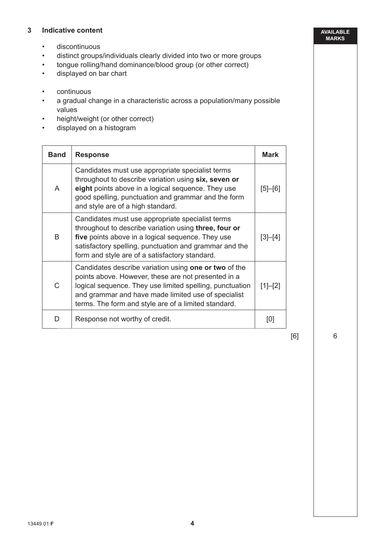#### **3 Indicative content**

- discontinuous
- distinct groups/individuals clearly divided into two or more groups
- tongue rolling/hand dominance/blood group (or other correct)
- displayed on bar chart
- continuous
- a gradual change in a characteristic across a population/many possible values
- height/weight (or other correct)
- displayed on a histogram

| <b>Band</b> | <b>Response</b>                                                                                                                                                                                                                                                                         |               |
|-------------|-----------------------------------------------------------------------------------------------------------------------------------------------------------------------------------------------------------------------------------------------------------------------------------------|---------------|
| A           | Candidates must use appropriate specialist terms<br>throughout to describe variation using six, seven or<br>eight points above in a logical sequence. They use<br>good spelling, punctuation and grammar and the form<br>and style are of a high standard.                              | $[5]$ - $[6]$ |
| B           | Candidates must use appropriate specialist terms<br>throughout to describe variation using three, four or<br>five points above in a logical sequence. They use<br>satisfactory spelling, punctuation and grammar and the<br>form and style are of a satisfactory standard.              |               |
| C           | Candidates describe variation using one or two of the<br>points above. However, these are not presented in a<br>logical sequence. They use limited spelling, punctuation<br>and grammar and have made limited use of specialist<br>terms. The form and style are of a limited standard. | $[1]-[2]$     |
| D           | Response not worthy of credit.                                                                                                                                                                                                                                                          | [0]           |

[6]

6

**AVAILABLE MARKS**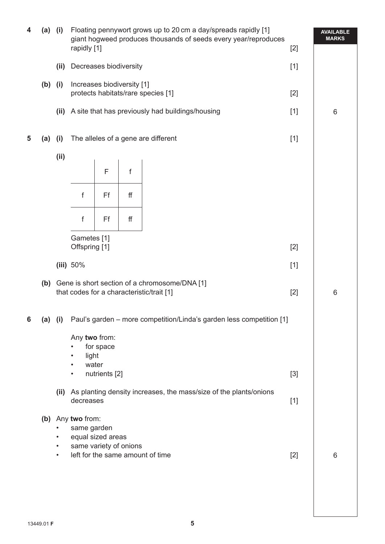| 4 | $(a)$ (i)                                                                                                                                                          |                                                                                                         | Floating pennywort grows up to 20 cm a day/spreads rapidly [1]<br>giant hogweed produces thousands of seeds every year/reproduces<br>rapidly [1]<br>$[2]$ |                                                                  |                                                  |       |       | <b>AVAILABLE</b><br><b>MARKS</b> |
|---|--------------------------------------------------------------------------------------------------------------------------------------------------------------------|---------------------------------------------------------------------------------------------------------|-----------------------------------------------------------------------------------------------------------------------------------------------------------|------------------------------------------------------------------|--------------------------------------------------|-------|-------|----------------------------------|
|   |                                                                                                                                                                    | (ii)                                                                                                    | Decreases biodiversity                                                                                                                                    |                                                                  | $[1]$                                            |       |       |                                  |
|   | $(b)$ (i)                                                                                                                                                          |                                                                                                         |                                                                                                                                                           | Increases biodiversity [1]<br>protects habitats/rare species [1] |                                                  |       |       |                                  |
|   |                                                                                                                                                                    | (ii)                                                                                                    |                                                                                                                                                           |                                                                  | A site that has previously had buildings/housing | $[1]$ | 6     |                                  |
| 5 | (a)                                                                                                                                                                | (i)                                                                                                     | The alleles of a gene are different                                                                                                                       |                                                                  |                                                  |       | $[1]$ |                                  |
|   |                                                                                                                                                                    | (ii)                                                                                                    |                                                                                                                                                           |                                                                  |                                                  |       |       |                                  |
|   |                                                                                                                                                                    |                                                                                                         |                                                                                                                                                           | F                                                                | f                                                |       |       |                                  |
|   |                                                                                                                                                                    |                                                                                                         | f                                                                                                                                                         | Ff                                                               | ff                                               |       |       |                                  |
|   |                                                                                                                                                                    |                                                                                                         | f                                                                                                                                                         | Ff                                                               | ff                                               |       |       |                                  |
|   |                                                                                                                                                                    |                                                                                                         | Gametes [1]<br>Offspring [1]<br>$[2]$                                                                                                                     |                                                                  |                                                  |       |       |                                  |
|   |                                                                                                                                                                    |                                                                                                         | (iii) $50\%$                                                                                                                                              |                                                                  |                                                  |       | $[1]$ |                                  |
|   |                                                                                                                                                                    | (b) Gene is short section of a chromosome/DNA [1]<br>that codes for a characteristic/trait [1]<br>$[2]$ |                                                                                                                                                           |                                                                  |                                                  |       |       | 6                                |
| 6 | Paul's garden - more competition/Linda's garden less competition [1]<br>$(a)$ (i)                                                                                  |                                                                                                         |                                                                                                                                                           |                                                                  |                                                  |       |       |                                  |
|   |                                                                                                                                                                    |                                                                                                         | Any two from:<br>for space<br>light<br>$\bullet$                                                                                                          |                                                                  |                                                  |       |       |                                  |
|   |                                                                                                                                                                    |                                                                                                         | water<br>$\bullet$<br>nutrients [2]<br>$[3]$<br>$\bullet$                                                                                                 |                                                                  |                                                  |       |       |                                  |
|   | (ii) As planting density increases, the mass/size of the plants/onions<br>decreases<br>$[1]$<br>(b) Any two from:<br>same garden<br>equal sized areas<br>$\bullet$ |                                                                                                         |                                                                                                                                                           |                                                                  |                                                  |       |       |                                  |
|   |                                                                                                                                                                    |                                                                                                         |                                                                                                                                                           |                                                                  |                                                  |       |       |                                  |
|   |                                                                                                                                                                    | same variety of onions<br>$\bullet$<br>left for the same amount of time<br>$[2]$<br>$\bullet$           |                                                                                                                                                           |                                                                  |                                                  | 6     |       |                                  |
|   |                                                                                                                                                                    |                                                                                                         |                                                                                                                                                           |                                                                  |                                                  |       |       |                                  |